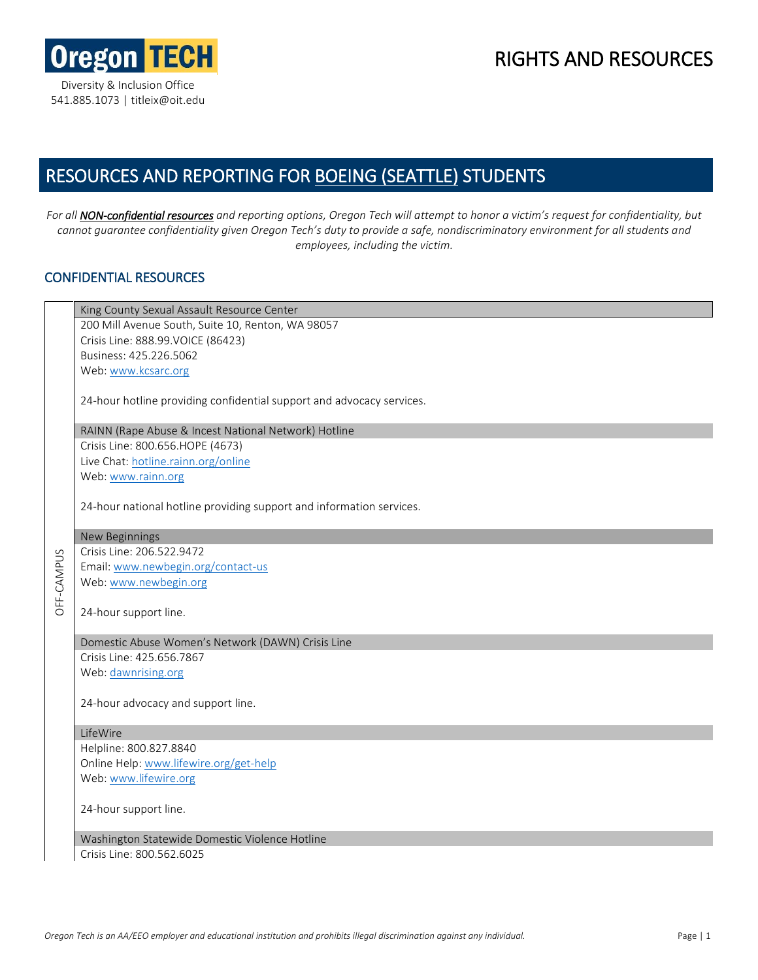

## RIGHTS AND RESOURCES

# RESOURCES AND REPORTING FOR BOEING (SEATTLE) STUDENTS

*For all NON-confidential resources and reporting options, Oregon Tech will attempt to honor a victim's request for confidentiality, but cannot guarantee confidentiality given Oregon Tech's duty to provide a safe, nondiscriminatory environment for all students and employees, including the victim.*

### CONFIDENTIAL RESOURCES

|            | King County Sexual Assault Resource Center                            |
|------------|-----------------------------------------------------------------------|
|            | 200 Mill Avenue South, Suite 10, Renton, WA 98057                     |
|            | Crisis Line: 888.99.VOICE (86423)                                     |
|            | Business: 425.226.5062                                                |
|            | Web: www.kcsarc.org                                                   |
|            | 24-hour hotline providing confidential support and advocacy services. |
|            | RAINN (Rape Abuse & Incest National Network) Hotline                  |
|            | Crisis Line: 800.656.HOPE (4673)                                      |
|            | Live Chat: hotline.rainn.org/online                                   |
|            | Web: www.rainn.org                                                    |
|            | 24-hour national hotline providing support and information services.  |
|            | New Beginnings                                                        |
|            | Crisis Line: 206.522.9472                                             |
|            | Email: www.newbegin.org/contact-us                                    |
|            | Web: www.newbegin.org                                                 |
| OFF-CAMPUS | 24-hour support line.                                                 |
|            | Domestic Abuse Women's Network (DAWN) Crisis Line                     |
|            | Crisis Line: 425.656.7867                                             |
|            | Web: dawnrising.org                                                   |
|            | 24-hour advocacy and support line.                                    |
|            | LifeWire                                                              |
|            | Helpline: 800.827.8840                                                |
|            | Online Help: www.lifewire.org/get-help                                |
|            | Web: www.lifewire.org                                                 |
|            | 24-hour support line.                                                 |
|            | Washington Statewide Domestic Violence Hotline                        |
|            | Crisis Line: 800.562.6025                                             |
|            |                                                                       |